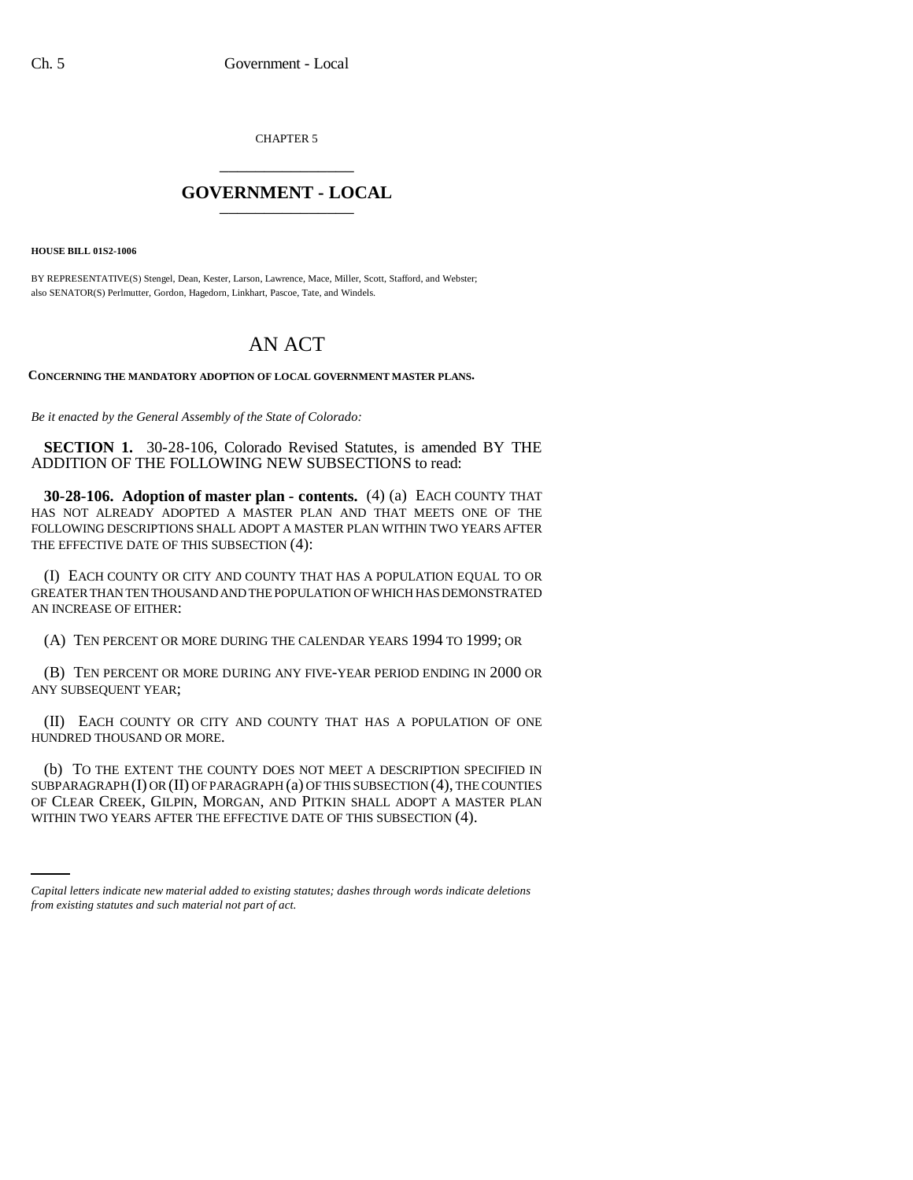CHAPTER 5 \_\_\_\_\_\_\_\_\_\_\_\_\_\_\_

## **GOVERNMENT - LOCAL** \_\_\_\_\_\_\_\_\_\_\_\_\_\_\_

**HOUSE BILL 01S2-1006**

BY REPRESENTATIVE(S) Stengel, Dean, Kester, Larson, Lawrence, Mace, Miller, Scott, Stafford, and Webster; also SENATOR(S) Perlmutter, Gordon, Hagedorn, Linkhart, Pascoe, Tate, and Windels.

## AN ACT

**CONCERNING THE MANDATORY ADOPTION OF LOCAL GOVERNMENT MASTER PLANS.**

*Be it enacted by the General Assembly of the State of Colorado:*

**SECTION 1.** 30-28-106, Colorado Revised Statutes, is amended BY THE ADDITION OF THE FOLLOWING NEW SUBSECTIONS to read:

**30-28-106. Adoption of master plan - contents.** (4) (a) EACH COUNTY THAT HAS NOT ALREADY ADOPTED A MASTER PLAN AND THAT MEETS ONE OF THE FOLLOWING DESCRIPTIONS SHALL ADOPT A MASTER PLAN WITHIN TWO YEARS AFTER THE EFFECTIVE DATE OF THIS SUBSECTION (4):

(I) EACH COUNTY OR CITY AND COUNTY THAT HAS A POPULATION EQUAL TO OR GREATER THAN TEN THOUSAND AND THE POPULATION OF WHICH HAS DEMONSTRATED AN INCREASE OF EITHER:

(A) TEN PERCENT OR MORE DURING THE CALENDAR YEARS 1994 TO 1999; OR

(B) TEN PERCENT OR MORE DURING ANY FIVE-YEAR PERIOD ENDING IN 2000 OR ANY SUBSEQUENT YEAR;

(II) EACH COUNTY OR CITY AND COUNTY THAT HAS A POPULATION OF ONE HUNDRED THOUSAND OR MORE.

OF CLEAR CREEK, GILPIN, MORGAN, AND PITKIN SHALL ADOPT A MASTER PLAN (b) TO THE EXTENT THE COUNTY DOES NOT MEET A DESCRIPTION SPECIFIED IN SUBPARAGRAPH (I) OR (II) OF PARAGRAPH (a) OF THIS SUBSECTION (4), THE COUNTIES WITHIN TWO YEARS AFTER THE EFFECTIVE DATE OF THIS SUBSECTION (4).

*Capital letters indicate new material added to existing statutes; dashes through words indicate deletions from existing statutes and such material not part of act.*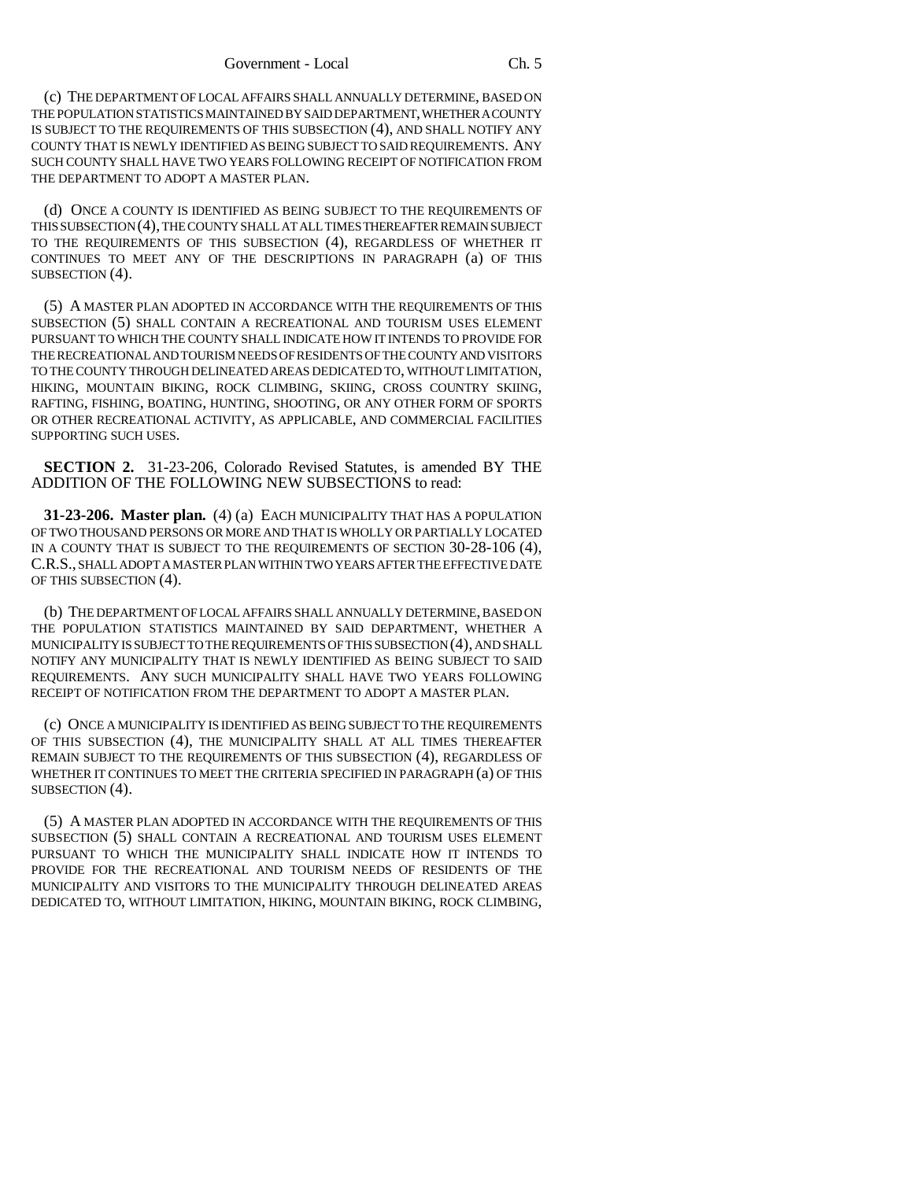(c) THE DEPARTMENT OF LOCAL AFFAIRS SHALL ANNUALLY DETERMINE, BASED ON THE POPULATION STATISTICS MAINTAINED BY SAID DEPARTMENT, WHETHER A COUNTY IS SUBJECT TO THE REQUIREMENTS OF THIS SUBSECTION (4), AND SHALL NOTIFY ANY COUNTY THAT IS NEWLY IDENTIFIED AS BEING SUBJECT TO SAID REQUIREMENTS. ANY SUCH COUNTY SHALL HAVE TWO YEARS FOLLOWING RECEIPT OF NOTIFICATION FROM THE DEPARTMENT TO ADOPT A MASTER PLAN.

(d) ONCE A COUNTY IS IDENTIFIED AS BEING SUBJECT TO THE REQUIREMENTS OF THIS SUBSECTION (4), THE COUNTY SHALL AT ALL TIMES THEREAFTER REMAIN SUBJECT TO THE REQUIREMENTS OF THIS SUBSECTION (4), REGARDLESS OF WHETHER IT CONTINUES TO MEET ANY OF THE DESCRIPTIONS IN PARAGRAPH (a) OF THIS SUBSECTION (4).

(5) A MASTER PLAN ADOPTED IN ACCORDANCE WITH THE REQUIREMENTS OF THIS SUBSECTION (5) SHALL CONTAIN A RECREATIONAL AND TOURISM USES ELEMENT PURSUANT TO WHICH THE COUNTY SHALL INDICATE HOW IT INTENDS TO PROVIDE FOR THE RECREATIONAL AND TOURISM NEEDS OF RESIDENTS OF THE COUNTY AND VISITORS TO THE COUNTY THROUGH DELINEATED AREAS DEDICATED TO, WITHOUT LIMITATION, HIKING, MOUNTAIN BIKING, ROCK CLIMBING, SKIING, CROSS COUNTRY SKIING, RAFTING, FISHING, BOATING, HUNTING, SHOOTING, OR ANY OTHER FORM OF SPORTS OR OTHER RECREATIONAL ACTIVITY, AS APPLICABLE, AND COMMERCIAL FACILITIES SUPPORTING SUCH USES.

**SECTION 2.** 31-23-206, Colorado Revised Statutes, is amended BY THE ADDITION OF THE FOLLOWING NEW SUBSECTIONS to read:

**31-23-206. Master plan.** (4) (a) EACH MUNICIPALITY THAT HAS A POPULATION OF TWO THOUSAND PERSONS OR MORE AND THAT IS WHOLLY OR PARTIALLY LOCATED IN A COUNTY THAT IS SUBJECT TO THE REQUIREMENTS OF SECTION 30-28-106 (4), C.R.S., SHALL ADOPT A MASTER PLAN WITHIN TWO YEARS AFTER THE EFFECTIVE DATE OF THIS SUBSECTION (4).

(b) THE DEPARTMENT OF LOCAL AFFAIRS SHALL ANNUALLY DETERMINE, BASED ON THE POPULATION STATISTICS MAINTAINED BY SAID DEPARTMENT, WHETHER A MUNICIPALITY IS SUBJECT TO THE REQUIREMENTS OF THIS SUBSECTION (4), AND SHALL NOTIFY ANY MUNICIPALITY THAT IS NEWLY IDENTIFIED AS BEING SUBJECT TO SAID REQUIREMENTS. ANY SUCH MUNICIPALITY SHALL HAVE TWO YEARS FOLLOWING RECEIPT OF NOTIFICATION FROM THE DEPARTMENT TO ADOPT A MASTER PLAN.

(c) ONCE A MUNICIPALITY IS IDENTIFIED AS BEING SUBJECT TO THE REQUIREMENTS OF THIS SUBSECTION (4), THE MUNICIPALITY SHALL AT ALL TIMES THEREAFTER REMAIN SUBJECT TO THE REQUIREMENTS OF THIS SUBSECTION (4), REGARDLESS OF WHETHER IT CONTINUES TO MEET THE CRITERIA SPECIFIED IN PARAGRAPH (a) OF THIS SUBSECTION (4).

(5) A MASTER PLAN ADOPTED IN ACCORDANCE WITH THE REQUIREMENTS OF THIS SUBSECTION (5) SHALL CONTAIN A RECREATIONAL AND TOURISM USES ELEMENT PURSUANT TO WHICH THE MUNICIPALITY SHALL INDICATE HOW IT INTENDS TO PROVIDE FOR THE RECREATIONAL AND TOURISM NEEDS OF RESIDENTS OF THE MUNICIPALITY AND VISITORS TO THE MUNICIPALITY THROUGH DELINEATED AREAS DEDICATED TO, WITHOUT LIMITATION, HIKING, MOUNTAIN BIKING, ROCK CLIMBING,